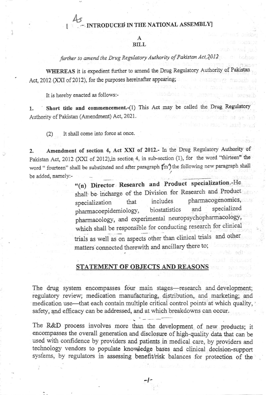## TRODUCED IN THE NATIONAL ASSEMBLY

## **BILL**

further to amend the Drug Regulatory Authority of Pakistan Act, 2012

WHEREAS it is expedient further to amend the Drug Regulatory Authority of Pakist Act, 2012 (XXI of 2012), for the purposes hereinafter appearing;

It is hereby enacted as follows:-

Short title and commencement.-(1) This Act may be called the Drug Regulatory 1. Authority of Pakistan (Amendment) Act, 2021.

It shall come into force at once.  $(2)$ 

Amendment of section 4, Act XXI of 2012.- In the Drug Regulatory Authority of 2. Pakistan Act, 2012 (XXI of 2012), in section 4, in sub-section (1), for the word "thirteen" the word "fourteen" shall be substituted and after paragraph (in') the following new paragraph shall be added, namely:-

"(n) Director Research and Product specialization.-He shall be incharge of the Division for Research and Product pharmacogenomics, includes that specialization specialized and biostatistics pharmacoepidemiology, pharmacology, and experimental neuropsychopharmacology, which shall be responsible for conducting research for clinical trials as well as on aspects other than clinical trials and other matters connected therewith and ancillary there to;

## STATEMENT OF OBJECTS AND REASONS

The drug system encompasses four main stages-research and development; regulatory review; medication manufacturing, distribution, and marketing; and medication use—that each contain multiple critical control points at which quality, safety, and efficacy can be addressed, and at which breakdowns can occur.

The R&D process involves more than the development of new products; it encompasses the overall generation and disclosure of high-quality data that can be used with confidence by providers and patients in medical care, by providers and technology vendors to populate knowledge bases and clinical decision-support systems, by regulators in assessing benefit/risk balances for protection of the